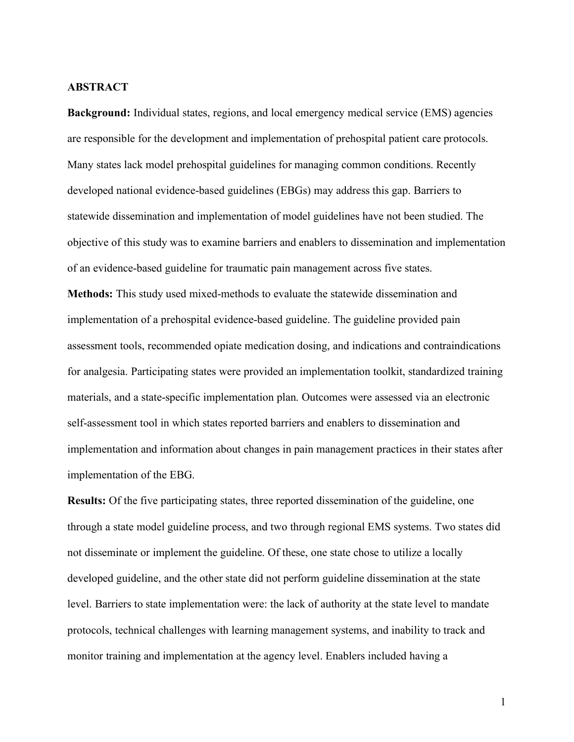### **ABSTRACT**

**Background:** Individual states, regions, and local emergency medical service (EMS) agencies are responsible for the development and implementation of prehospital patient care protocols. Many states lack model prehospital guidelines for managing common conditions. Recently developed national evidence-based guidelines (EBGs) may address this gap. Barriers to statewide dissemination and implementation of model guidelines have not been studied. The objective of this study was to examine barriers and enablers to dissemination and implementation of an evidence-based guideline for traumatic pain management across five states.

**Methods:** This study used mixed-methods to evaluate the statewide dissemination and implementation of a prehospital evidence-based guideline. The guideline provided pain assessment tools, recommended opiate medication dosing, and indications and contraindications for analgesia. Participating states were provided an implementation toolkit, standardized training materials, and a state-specific implementation plan. Outcomes were assessed via an electronic self-assessment tool in which states reported barriers and enablers to dissemination and implementation and information about changes in pain management practices in their states after implementation of the EBG.

**Results:** Of the five participating states, three reported dissemination of the guideline, one through a state model guideline process, and two through regional EMS systems. Two states did not disseminate or implement the guideline. Of these, one state chose to utilize a locally developed guideline, and the other state did not perform guideline dissemination at the state level. Barriers to state implementation were: the lack of authority at the state level to mandate protocols, technical challenges with learning management systems, and inability to track and monitor training and implementation at the agency level. Enablers included having a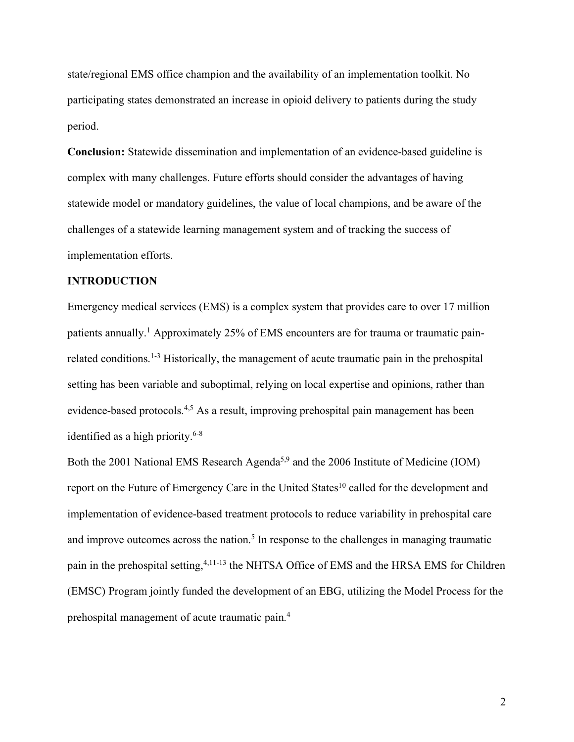state/regional EMS office champion and the availability of an implementation toolkit. No participating states demonstrated an increase in opioid delivery to patients during the study period.

**Conclusion:** Statewide dissemination and implementation of an evidence-based guideline is complex with many challenges. Future efforts should consider the advantages of having statewide model or mandatory guidelines, the value of local champions, and be aware of the challenges of a statewide learning management system and of tracking the success of implementation efforts.

## **INTRODUCTION**

Emergency medical services (EMS) is a complex system that provides care to over 17 million patients annually.<sup>1</sup> Approximately 25% of EMS encounters are for trauma or traumatic painrelated conditions.1-3 Historically, the management of acute traumatic pain in the prehospital setting has been variable and suboptimal, relying on local expertise and opinions, rather than evidence-based protocols.4,5 As a result, improving prehospital pain management has been identified as a high priority.6-8

Both the 2001 National EMS Research Agenda<sup>5,9</sup> and the 2006 Institute of Medicine (IOM) report on the Future of Emergency Care in the United States<sup>10</sup> called for the development and implementation of evidence-based treatment protocols to reduce variability in prehospital care and improve outcomes across the nation.<sup>5</sup> In response to the challenges in managing traumatic pain in the prehospital setting, <sup>4,11-13</sup> the NHTSA Office of EMS and the HRSA EMS for Children (EMSC) Program jointly funded the development of an EBG, utilizing the Model Process for the prehospital management of acute traumatic pain.4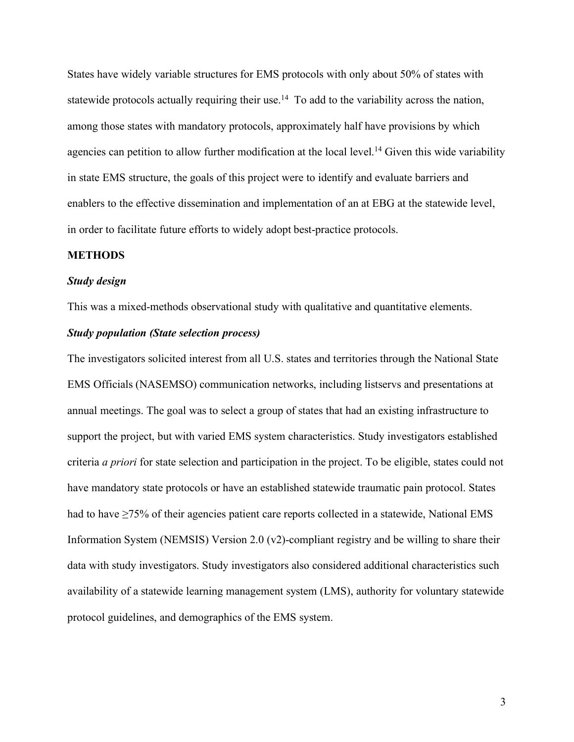States have widely variable structures for EMS protocols with only about 50% of states with statewide protocols actually requiring their use.<sup>14</sup> To add to the variability across the nation, among those states with mandatory protocols, approximately half have provisions by which agencies can petition to allow further modification at the local level.<sup>14</sup> Given this wide variability in state EMS structure, the goals of this project were to identify and evaluate barriers and enablers to the effective dissemination and implementation of an at EBG at the statewide level, in order to facilitate future efforts to widely adopt best-practice protocols.

## **METHODS**

### *Study design*

This was a mixed-methods observational study with qualitative and quantitative elements.

#### *Study population (State selection process)*

The investigators solicited interest from all U.S. states and territories through the National State EMS Officials (NASEMSO) communication networks, including listservs and presentations at annual meetings. The goal was to select a group of states that had an existing infrastructure to support the project, but with varied EMS system characteristics. Study investigators established criteria *a priori* for state selection and participation in the project. To be eligible, states could not have mandatory state protocols or have an established statewide traumatic pain protocol. States had to have ≥75% of their agencies patient care reports collected in a statewide, National EMS Information System (NEMSIS) Version 2.0 (v2)-compliant registry and be willing to share their data with study investigators. Study investigators also considered additional characteristics such availability of a statewide learning management system (LMS), authority for voluntary statewide protocol guidelines, and demographics of the EMS system.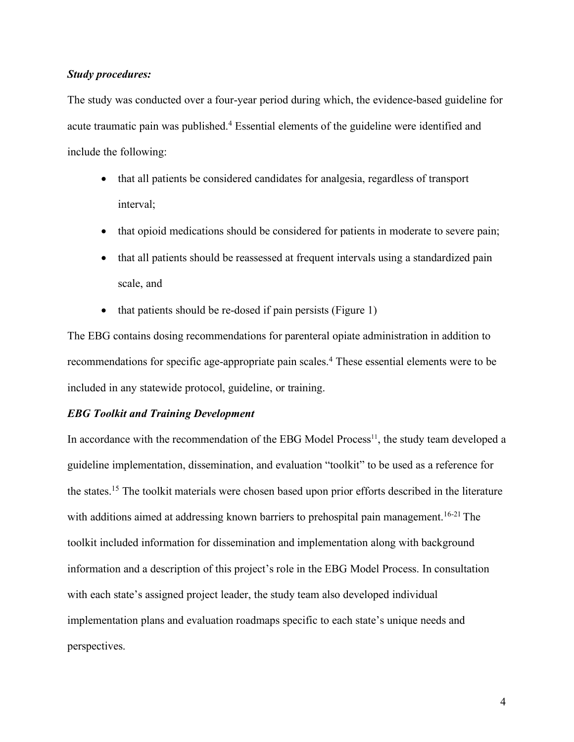## *Study procedures:*

The study was conducted over a four-year period during which, the evidence-based guideline for acute traumatic pain was published.<sup>4</sup> Essential elements of the guideline were identified and include the following:

- that all patients be considered candidates for analgesia, regardless of transport interval;
- that opioid medications should be considered for patients in moderate to severe pain;
- that all patients should be reassessed at frequent intervals using a standardized pain scale, and
- that patients should be re-dosed if pain persists (Figure 1)

The EBG contains dosing recommendations for parenteral opiate administration in addition to recommendations for specific age-appropriate pain scales.<sup>4</sup> These essential elements were to be included in any statewide protocol, guideline, or training.

## *EBG Toolkit and Training Development*

In accordance with the recommendation of the EBG Model Process $<sup>11</sup>$ , the study team developed a</sup> guideline implementation, dissemination, and evaluation "toolkit" to be used as a reference for the states.15 The toolkit materials were chosen based upon prior efforts described in the literature with additions aimed at addressing known barriers to prehospital pain management.<sup>16-21</sup> The toolkit included information for dissemination and implementation along with background information and a description of this project's role in the EBG Model Process. In consultation with each state's assigned project leader, the study team also developed individual implementation plans and evaluation roadmaps specific to each state's unique needs and perspectives.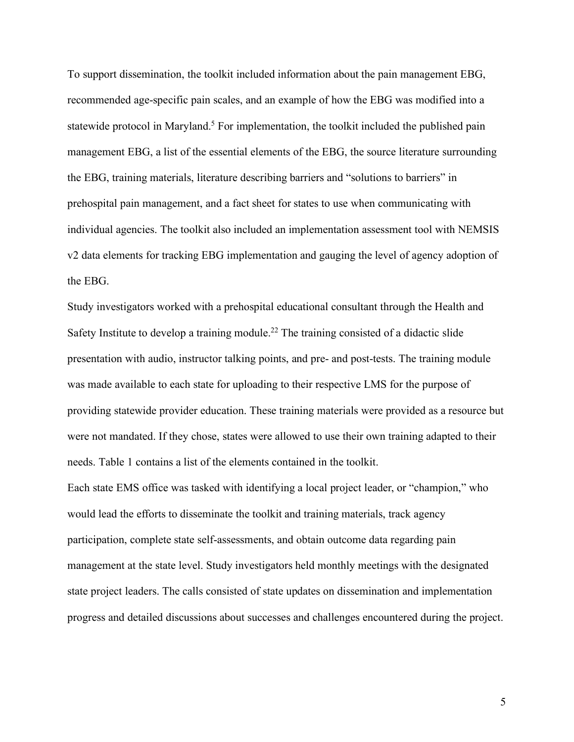To support dissemination, the toolkit included information about the pain management EBG, recommended age-specific pain scales, and an example of how the EBG was modified into a statewide protocol in Maryland.<sup>5</sup> For implementation, the toolkit included the published pain management EBG, a list of the essential elements of the EBG, the source literature surrounding the EBG, training materials, literature describing barriers and "solutions to barriers" in prehospital pain management, and a fact sheet for states to use when communicating with individual agencies. The toolkit also included an implementation assessment tool with NEMSIS v2 data elements for tracking EBG implementation and gauging the level of agency adoption of the EBG.

Study investigators worked with a prehospital educational consultant through the Health and Safety Institute to develop a training module.<sup>22</sup> The training consisted of a didactic slide presentation with audio, instructor talking points, and pre- and post-tests. The training module was made available to each state for uploading to their respective LMS for the purpose of providing statewide provider education. These training materials were provided as a resource but were not mandated. If they chose, states were allowed to use their own training adapted to their needs. Table 1 contains a list of the elements contained in the toolkit.

Each state EMS office was tasked with identifying a local project leader, or "champion," who would lead the efforts to disseminate the toolkit and training materials, track agency participation, complete state self-assessments, and obtain outcome data regarding pain management at the state level. Study investigators held monthly meetings with the designated state project leaders. The calls consisted of state updates on dissemination and implementation progress and detailed discussions about successes and challenges encountered during the project.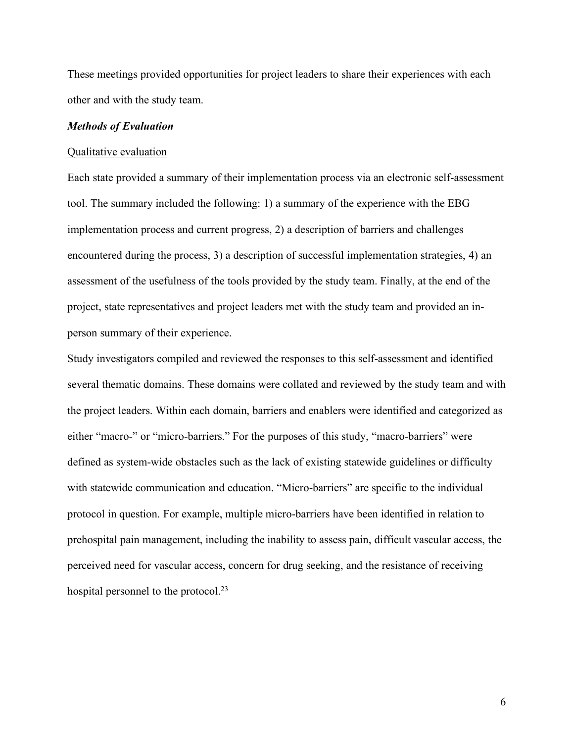These meetings provided opportunities for project leaders to share their experiences with each other and with the study team.

## *Methods of Evaluation*

#### Qualitative evaluation

Each state provided a summary of their implementation process via an electronic self-assessment tool. The summary included the following: 1) a summary of the experience with the EBG implementation process and current progress, 2) a description of barriers and challenges encountered during the process, 3) a description of successful implementation strategies, 4) an assessment of the usefulness of the tools provided by the study team. Finally, at the end of the project, state representatives and project leaders met with the study team and provided an inperson summary of their experience.

Study investigators compiled and reviewed the responses to this self-assessment and identified several thematic domains. These domains were collated and reviewed by the study team and with the project leaders. Within each domain, barriers and enablers were identified and categorized as either "macro-" or "micro-barriers." For the purposes of this study, "macro-barriers" were defined as system-wide obstacles such as the lack of existing statewide guidelines or difficulty with statewide communication and education. "Micro-barriers" are specific to the individual protocol in question. For example, multiple micro-barriers have been identified in relation to prehospital pain management, including the inability to assess pain, difficult vascular access, the perceived need for vascular access, concern for drug seeking, and the resistance of receiving hospital personnel to the protocol.<sup>23</sup>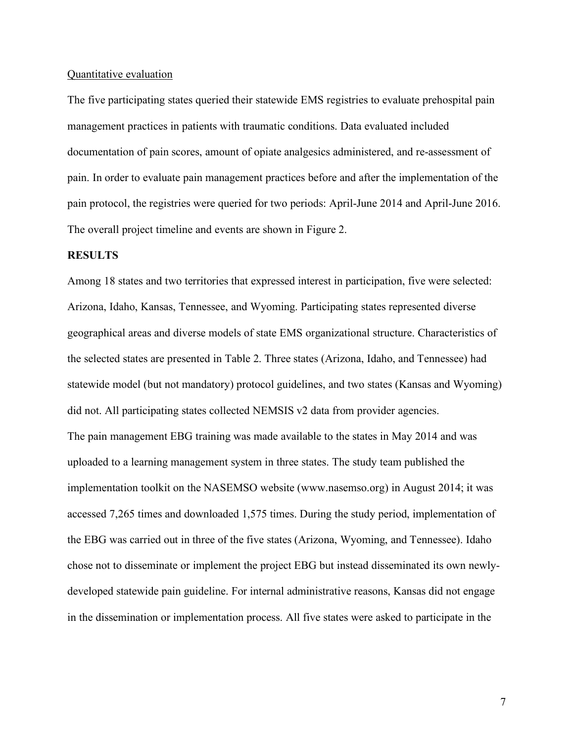#### Quantitative evaluation

The five participating states queried their statewide EMS registries to evaluate prehospital pain management practices in patients with traumatic conditions. Data evaluated included documentation of pain scores, amount of opiate analgesics administered, and re-assessment of pain. In order to evaluate pain management practices before and after the implementation of the pain protocol, the registries were queried for two periods: April-June 2014 and April-June 2016. The overall project timeline and events are shown in Figure 2.

#### **RESULTS**

Among 18 states and two territories that expressed interest in participation, five were selected: Arizona, Idaho, Kansas, Tennessee, and Wyoming. Participating states represented diverse geographical areas and diverse models of state EMS organizational structure. Characteristics of the selected states are presented in Table 2. Three states (Arizona, Idaho, and Tennessee) had statewide model (but not mandatory) protocol guidelines, and two states (Kansas and Wyoming) did not. All participating states collected NEMSIS v2 data from provider agencies. The pain management EBG training was made available to the states in May 2014 and was uploaded to a learning management system in three states. The study team published the implementation toolkit on the NASEMSO website (www.nasemso.org) in August 2014; it was accessed 7,265 times and downloaded 1,575 times. During the study period, implementation of the EBG was carried out in three of the five states (Arizona, Wyoming, and Tennessee). Idaho chose not to disseminate or implement the project EBG but instead disseminated its own newlydeveloped statewide pain guideline. For internal administrative reasons, Kansas did not engage in the dissemination or implementation process. All five states were asked to participate in the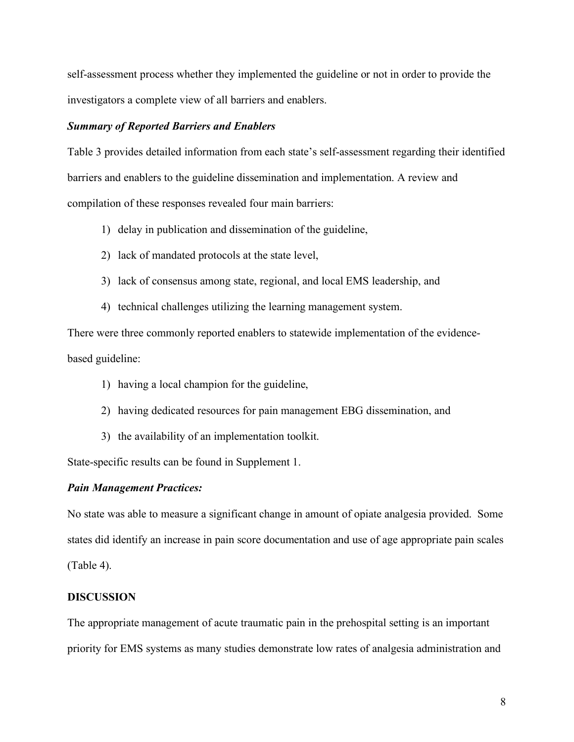self-assessment process whether they implemented the guideline or not in order to provide the investigators a complete view of all barriers and enablers.

### *Summary of Reported Barriers and Enablers*

Table 3 provides detailed information from each state's self-assessment regarding their identified barriers and enablers to the guideline dissemination and implementation. A review and compilation of these responses revealed four main barriers:

- 1) delay in publication and dissemination of the guideline,
- 2) lack of mandated protocols at the state level,
- 3) lack of consensus among state, regional, and local EMS leadership, and
- 4) technical challenges utilizing the learning management system.

There were three commonly reported enablers to statewide implementation of the evidencebased guideline:

- 1) having a local champion for the guideline,
- 2) having dedicated resources for pain management EBG dissemination, and
- 3) the availability of an implementation toolkit.

State-specific results can be found in Supplement 1.

#### *Pain Management Practices:*

No state was able to measure a significant change in amount of opiate analgesia provided. Some states did identify an increase in pain score documentation and use of age appropriate pain scales (Table 4).

## **DISCUSSION**

The appropriate management of acute traumatic pain in the prehospital setting is an important priority for EMS systems as many studies demonstrate low rates of analgesia administration and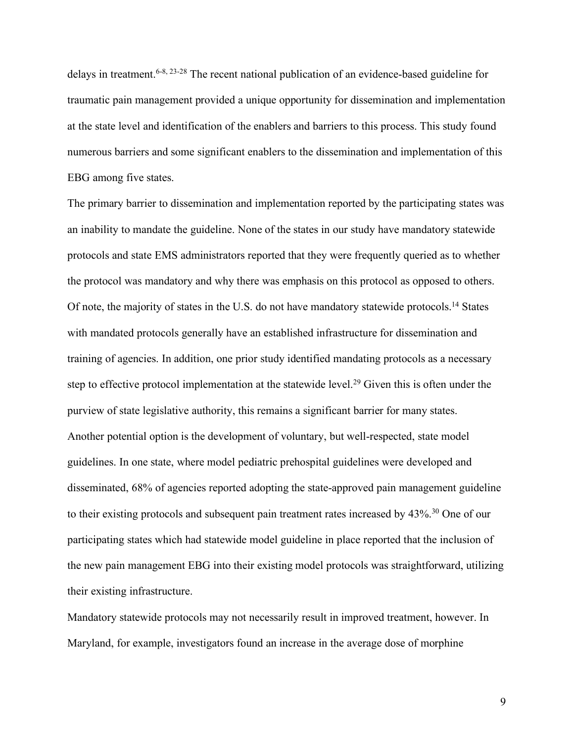delays in treatment.6-8, 23-28 The recent national publication of an evidence-based guideline for traumatic pain management provided a unique opportunity for dissemination and implementation at the state level and identification of the enablers and barriers to this process. This study found numerous barriers and some significant enablers to the dissemination and implementation of this EBG among five states.

The primary barrier to dissemination and implementation reported by the participating states was an inability to mandate the guideline. None of the states in our study have mandatory statewide protocols and state EMS administrators reported that they were frequently queried as to whether the protocol was mandatory and why there was emphasis on this protocol as opposed to others. Of note, the majority of states in the U.S. do not have mandatory statewide protocols.14 States with mandated protocols generally have an established infrastructure for dissemination and training of agencies. In addition, one prior study identified mandating protocols as a necessary step to effective protocol implementation at the statewide level.<sup>29</sup> Given this is often under the purview of state legislative authority, this remains a significant barrier for many states. Another potential option is the development of voluntary, but well-respected, state model guidelines. In one state, where model pediatric prehospital guidelines were developed and disseminated, 68% of agencies reported adopting the state-approved pain management guideline to their existing protocols and subsequent pain treatment rates increased by 43%.<sup>30</sup> One of our participating states which had statewide model guideline in place reported that the inclusion of the new pain management EBG into their existing model protocols was straightforward, utilizing their existing infrastructure.

Mandatory statewide protocols may not necessarily result in improved treatment, however. In Maryland, for example, investigators found an increase in the average dose of morphine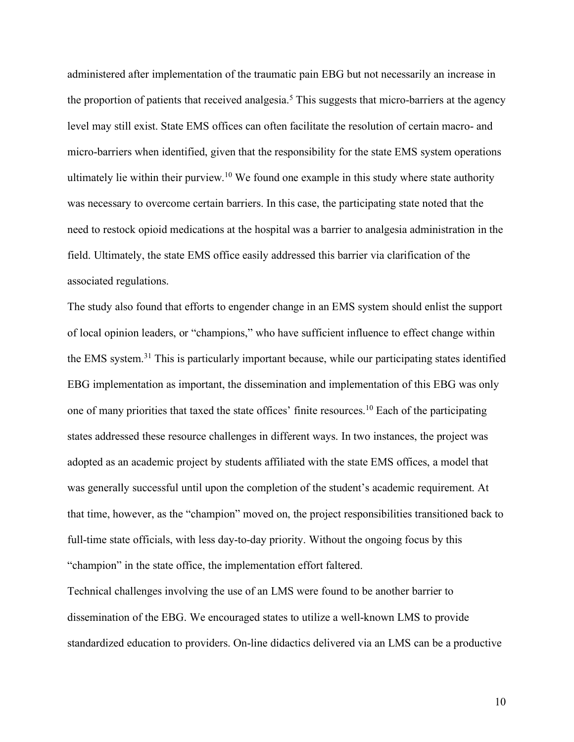administered after implementation of the traumatic pain EBG but not necessarily an increase in the proportion of patients that received analgesia.<sup>5</sup> This suggests that micro-barriers at the agency level may still exist. State EMS offices can often facilitate the resolution of certain macro- and micro-barriers when identified, given that the responsibility for the state EMS system operations ultimately lie within their purview.<sup>10</sup> We found one example in this study where state authority was necessary to overcome certain barriers. In this case, the participating state noted that the need to restock opioid medications at the hospital was a barrier to analgesia administration in the field. Ultimately, the state EMS office easily addressed this barrier via clarification of the associated regulations.

The study also found that efforts to engender change in an EMS system should enlist the support of local opinion leaders, or "champions," who have sufficient influence to effect change within the EMS system. <sup>31</sup> This is particularly important because, while our participating states identified EBG implementation as important, the dissemination and implementation of this EBG was only one of many priorities that taxed the state offices' finite resources. <sup>10</sup> Each of the participating states addressed these resource challenges in different ways. In two instances, the project was adopted as an academic project by students affiliated with the state EMS offices, a model that was generally successful until upon the completion of the student's academic requirement. At that time, however, as the "champion" moved on, the project responsibilities transitioned back to full-time state officials, with less day-to-day priority. Without the ongoing focus by this "champion" in the state office, the implementation effort faltered.

Technical challenges involving the use of an LMS were found to be another barrier to dissemination of the EBG. We encouraged states to utilize a well-known LMS to provide standardized education to providers. On-line didactics delivered via an LMS can be a productive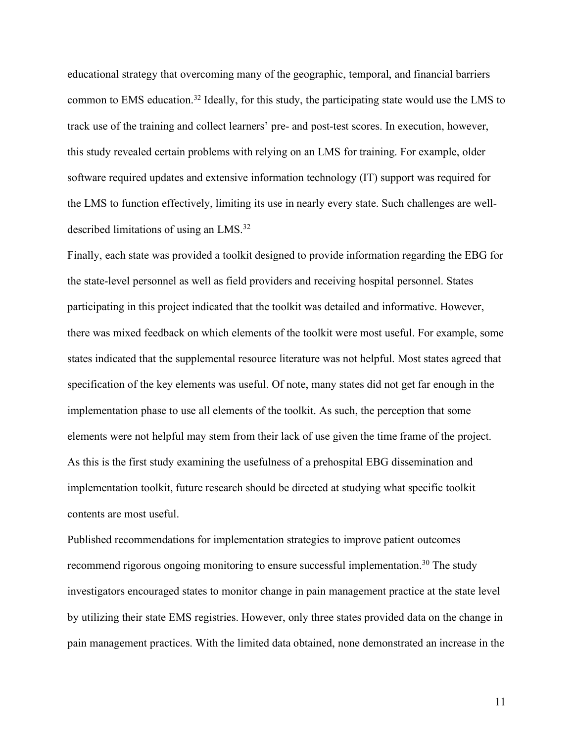educational strategy that overcoming many of the geographic, temporal, and financial barriers common to EMS education. <sup>32</sup> Ideally, for this study, the participating state would use the LMS to track use of the training and collect learners' pre- and post-test scores. In execution, however, this study revealed certain problems with relying on an LMS for training. For example, older software required updates and extensive information technology (IT) support was required for the LMS to function effectively, limiting its use in nearly every state. Such challenges are welldescribed limitations of using an LMS.32

Finally, each state was provided a toolkit designed to provide information regarding the EBG for the state-level personnel as well as field providers and receiving hospital personnel. States participating in this project indicated that the toolkit was detailed and informative. However, there was mixed feedback on which elements of the toolkit were most useful. For example, some states indicated that the supplemental resource literature was not helpful. Most states agreed that specification of the key elements was useful. Of note, many states did not get far enough in the implementation phase to use all elements of the toolkit. As such, the perception that some elements were not helpful may stem from their lack of use given the time frame of the project. As this is the first study examining the usefulness of a prehospital EBG dissemination and implementation toolkit, future research should be directed at studying what specific toolkit contents are most useful.

Published recommendations for implementation strategies to improve patient outcomes recommend rigorous ongoing monitoring to ensure successful implementation.<sup>30</sup> The study investigators encouraged states to monitor change in pain management practice at the state level by utilizing their state EMS registries. However, only three states provided data on the change in pain management practices. With the limited data obtained, none demonstrated an increase in the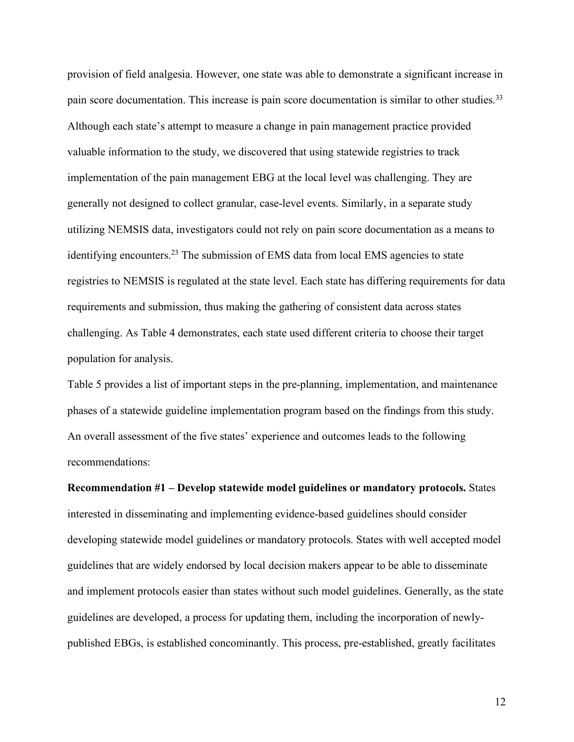provision of field analgesia. However, one state was able to demonstrate a significant increase in pain score documentation. This increase is pain score documentation is similar to other studies.<sup>33</sup> Although each state's attempt to measure a change in pain management practice provided valuable information to the study, we discovered that using statewide registries to track implementation of the pain management EBG at the local level was challenging. They are generally not designed to collect granular, case-level events. Similarly, in a separate study utilizing NEMSIS data, investigators could not rely on pain score documentation as a means to identifying encounters.<sup>23</sup> The submission of EMS data from local EMS agencies to state registries to NEMSIS is regulated at the state level. Each state has differing requirements for data requirements and submission, thus making the gathering of consistent data across states challenging. As Table 4 demonstrates, each state used different criteria to choose their target population for analysis.

Table 5 provides a list of important steps in the pre-planning, implementation, and maintenance phases of a statewide guideline implementation program based on the findings from this study. An overall assessment of the five states' experience and outcomes leads to the following recommendations:

**Recommendation #1 – Develop statewide model guidelines or mandatory protocols.** States interested in disseminating and implementing evidence-based guidelines should consider developing statewide model guidelines or mandatory protocols. States with well accepted model guidelines that are widely endorsed by local decision makers appear to be able to disseminate and implement protocols easier than states without such model guidelines. Generally, as the state guidelines are developed, a process for updating them, including the incorporation of newlypublished EBGs, is established concominantly. This process, pre-established, greatly facilitates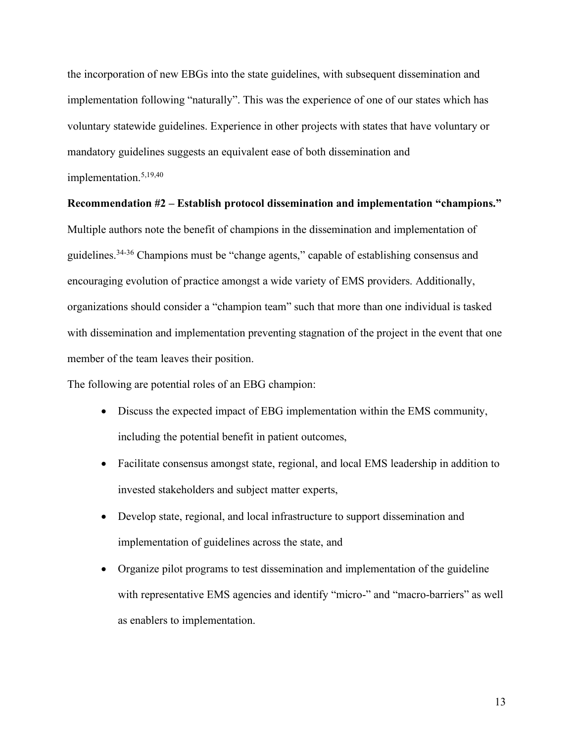the incorporation of new EBGs into the state guidelines, with subsequent dissemination and implementation following "naturally". This was the experience of one of our states which has voluntary statewide guidelines. Experience in other projects with states that have voluntary or mandatory guidelines suggests an equivalent ease of both dissemination and implementation.5,19,40

#### **Recommendation #2 – Establish protocol dissemination and implementation "champions."**

Multiple authors note the benefit of champions in the dissemination and implementation of guidelines.34-36 Champions must be "change agents," capable of establishing consensus and encouraging evolution of practice amongst a wide variety of EMS providers. Additionally, organizations should consider a "champion team" such that more than one individual is tasked with dissemination and implementation preventing stagnation of the project in the event that one member of the team leaves their position.

The following are potential roles of an EBG champion:

- Discuss the expected impact of EBG implementation within the EMS community, including the potential benefit in patient outcomes,
- Facilitate consensus amongst state, regional, and local EMS leadership in addition to invested stakeholders and subject matter experts,
- Develop state, regional, and local infrastructure to support dissemination and implementation of guidelines across the state, and
- Organize pilot programs to test dissemination and implementation of the guideline with representative EMS agencies and identify "micro-" and "macro-barriers" as well as enablers to implementation.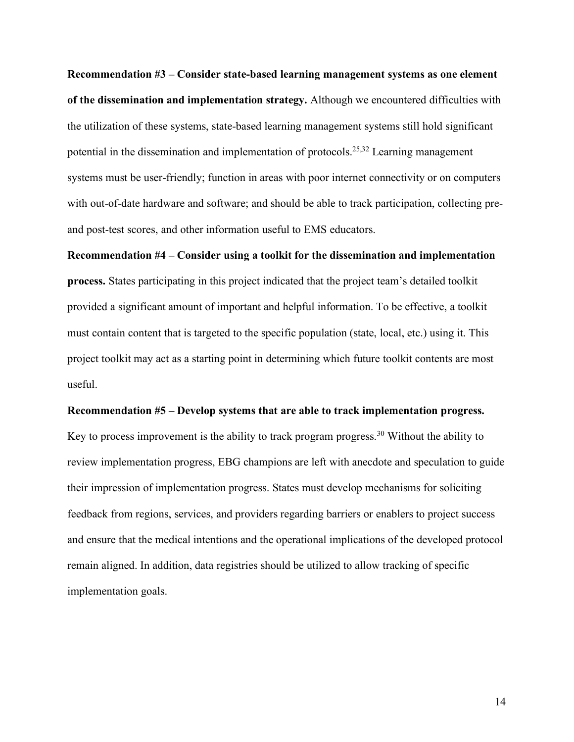**Recommendation #3 – Consider state-based learning management systems as one element of the dissemination and implementation strategy.** Although we encountered difficulties with the utilization of these systems, state-based learning management systems still hold significant potential in the dissemination and implementation of protocols.25,32 Learning management systems must be user-friendly; function in areas with poor internet connectivity or on computers with out-of-date hardware and software; and should be able to track participation, collecting preand post-test scores, and other information useful to EMS educators.

**Recommendation #4 – Consider using a toolkit for the dissemination and implementation process.** States participating in this project indicated that the project team's detailed toolkit provided a significant amount of important and helpful information. To be effective, a toolkit must contain content that is targeted to the specific population (state, local, etc.) using it. This project toolkit may act as a starting point in determining which future toolkit contents are most useful.

#### **Recommendation #5 – Develop systems that are able to track implementation progress.**

Key to process improvement is the ability to track program progress.<sup>30</sup> Without the ability to review implementation progress, EBG champions are left with anecdote and speculation to guide their impression of implementation progress. States must develop mechanisms for soliciting feedback from regions, services, and providers regarding barriers or enablers to project success and ensure that the medical intentions and the operational implications of the developed protocol remain aligned. In addition, data registries should be utilized to allow tracking of specific implementation goals.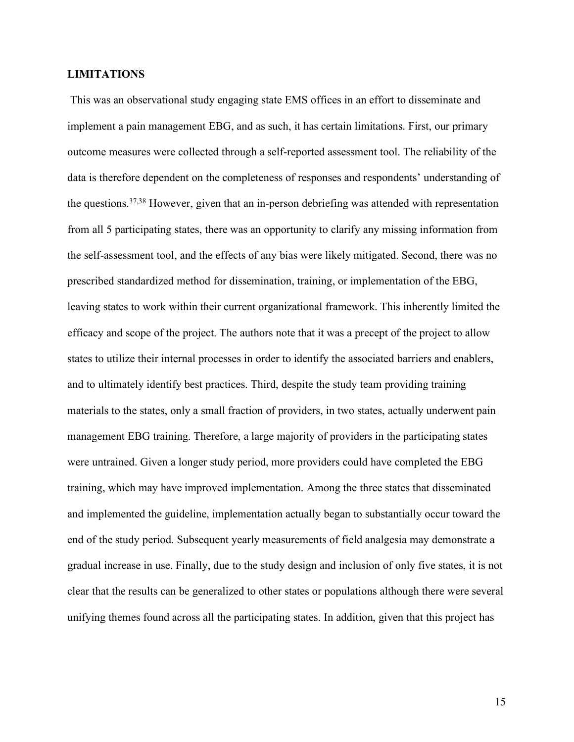## **LIMITATIONS**

This was an observational study engaging state EMS offices in an effort to disseminate and implement a pain management EBG, and as such, it has certain limitations. First, our primary outcome measures were collected through a self-reported assessment tool. The reliability of the data is therefore dependent on the completeness of responses and respondents' understanding of the questions.37,38 However, given that an in-person debriefing was attended with representation from all 5 participating states, there was an opportunity to clarify any missing information from the self-assessment tool, and the effects of any bias were likely mitigated. Second, there was no prescribed standardized method for dissemination, training, or implementation of the EBG, leaving states to work within their current organizational framework. This inherently limited the efficacy and scope of the project. The authors note that it was a precept of the project to allow states to utilize their internal processes in order to identify the associated barriers and enablers, and to ultimately identify best practices. Third, despite the study team providing training materials to the states, only a small fraction of providers, in two states, actually underwent pain management EBG training. Therefore, a large majority of providers in the participating states were untrained. Given a longer study period, more providers could have completed the EBG training, which may have improved implementation. Among the three states that disseminated and implemented the guideline, implementation actually began to substantially occur toward the end of the study period. Subsequent yearly measurements of field analgesia may demonstrate a gradual increase in use. Finally, due to the study design and inclusion of only five states, it is not clear that the results can be generalized to other states or populations although there were several unifying themes found across all the participating states. In addition, given that this project has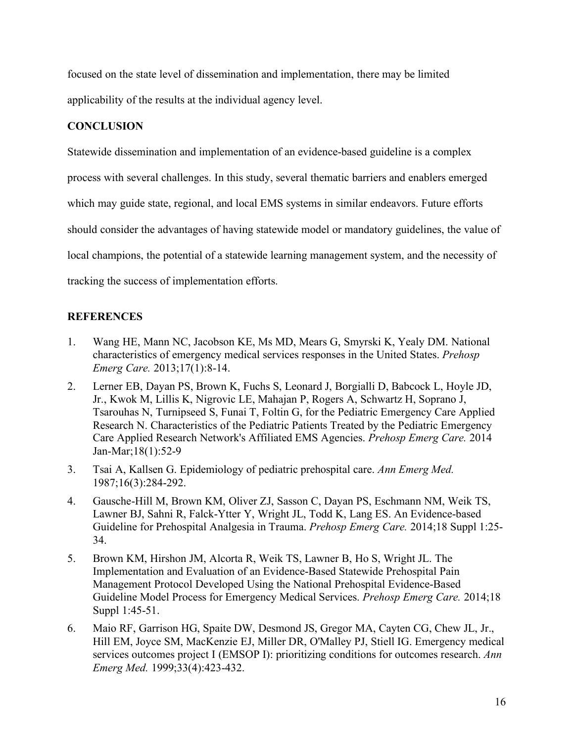focused on the state level of dissemination and implementation, there may be limited applicability of the results at the individual agency level.

# **CONCLUSION**

Statewide dissemination and implementation of an evidence-based guideline is a complex process with several challenges. In this study, several thematic barriers and enablers emerged which may guide state, regional, and local EMS systems in similar endeavors. Future efforts should consider the advantages of having statewide model or mandatory guidelines, the value of local champions, the potential of a statewide learning management system, and the necessity of tracking the success of implementation efforts.

# **REFERENCES**

- 1. Wang HE, Mann NC, Jacobson KE, Ms MD, Mears G, Smyrski K, Yealy DM. National characteristics of emergency medical services responses in the United States. *Prehosp Emerg Care.* 2013;17(1):8-14.
- 2. Lerner EB, Dayan PS, Brown K, Fuchs S, Leonard J, Borgialli D, Babcock L, Hoyle JD, Jr., Kwok M, Lillis K, Nigrovic LE, Mahajan P, Rogers A, Schwartz H, Soprano J, Tsarouhas N, Turnipseed S, Funai T, Foltin G, for the Pediatric Emergency Care Applied Research N. Characteristics of the Pediatric Patients Treated by the Pediatric Emergency Care Applied Research Network's Affiliated EMS Agencies. *Prehosp Emerg Care.* 2014 Jan-Mar;18(1):52-9
- 3. Tsai A, Kallsen G. Epidemiology of pediatric prehospital care. *Ann Emerg Med.*  1987;16(3):284-292.
- 4. Gausche-Hill M, Brown KM, Oliver ZJ, Sasson C, Dayan PS, Eschmann NM, Weik TS, Lawner BJ, Sahni R, Falck-Ytter Y, Wright JL, Todd K, Lang ES. An Evidence-based Guideline for Prehospital Analgesia in Trauma. *Prehosp Emerg Care.* 2014;18 Suppl 1:25- 34.
- 5. Brown KM, Hirshon JM, Alcorta R, Weik TS, Lawner B, Ho S, Wright JL. The Implementation and Evaluation of an Evidence-Based Statewide Prehospital Pain Management Protocol Developed Using the National Prehospital Evidence-Based Guideline Model Process for Emergency Medical Services. *Prehosp Emerg Care.* 2014;18 Suppl 1:45-51.
- 6. Maio RF, Garrison HG, Spaite DW, Desmond JS, Gregor MA, Cayten CG, Chew JL, Jr., Hill EM, Joyce SM, MacKenzie EJ, Miller DR, O'Malley PJ, Stiell IG. Emergency medical services outcomes project I (EMSOP I): prioritizing conditions for outcomes research. *Ann Emerg Med.* 1999;33(4):423-432.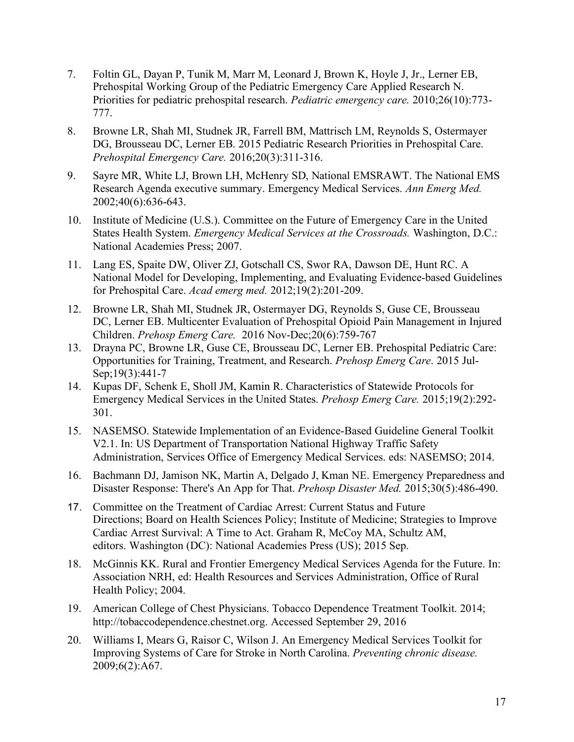- 7. Foltin GL, Dayan P, Tunik M, Marr M, Leonard J, Brown K, Hoyle J, Jr., Lerner EB, Prehospital Working Group of the Pediatric Emergency Care Applied Research N. Priorities for pediatric prehospital research. *Pediatric emergency care.* 2010;26(10):773- 777.
- 8. Browne LR, Shah MI, Studnek JR, Farrell BM, Mattrisch LM, Reynolds S, Ostermayer DG, Brousseau DC, Lerner EB. 2015 Pediatric Research Priorities in Prehospital Care. *Prehospital Emergency Care.* 2016;20(3):311-316.
- 9. Sayre MR, White LJ, Brown LH, McHenry SD, National EMSRAWT. The National EMS Research Agenda executive summary. Emergency Medical Services. *Ann Emerg Med.*  2002;40(6):636-643.
- 10. Institute of Medicine (U.S.). Committee on the Future of Emergency Care in the United States Health System. *Emergency Medical Services at the Crossroads.* Washington, D.C.: National Academies Press; 2007.
- 11. Lang ES, Spaite DW, Oliver ZJ, Gotschall CS, Swor RA, Dawson DE, Hunt RC. A National Model for Developing, Implementing, and Evaluating Evidence-based Guidelines for Prehospital Care. *Acad emerg med.* 2012;19(2):201-209.
- 12. Browne LR, Shah MI, Studnek JR, Ostermayer DG, Reynolds S, Guse CE, Brousseau DC, Lerner EB. Multicenter Evaluation of Prehospital Opioid Pain Management in Injured Children. *Prehosp Emerg Care.* 2016 Nov-Dec;20(6):759-767
- 13. Drayna PC, Browne LR, Guse CE, Brousseau DC, Lerner EB. Prehospital Pediatric Care: Opportunities for Training, Treatment, and Research. *Prehosp Emerg Care*. 2015 Jul-Sep;19(3):441-7
- 14. Kupas DF, Schenk E, Sholl JM, Kamin R. Characteristics of Statewide Protocols for Emergency Medical Services in the United States. *Prehosp Emerg Care.* 2015;19(2):292- 301.
- 15. NASEMSO. Statewide Implementation of an Evidence-Based Guideline General Toolkit V2.1. In: US Department of Transportation National Highway Traffic Safety Administration, Services Office of Emergency Medical Services. eds: NASEMSO; 2014.
- 16. Bachmann DJ, Jamison NK, Martin A, Delgado J, Kman NE. Emergency Preparedness and Disaster Response: There's An App for That. *Prehosp Disaster Med.* 2015;30(5):486-490.
- 17. Committee on the Treatment of Cardiac Arrest: Current Status and Future Directions; Board on Health Sciences Policy; Institute of Medicine; Strategies to Improve Cardiac Arrest Survival: A Time to Act. Graham R, McCoy MA, Schultz AM, editors. Washington (DC): National Academies Press (US); 2015 Sep.
- 18. McGinnis KK. Rural and Frontier Emergency Medical Services Agenda for the Future. In: Association NRH, ed: Health Resources and Services Administration, Office of Rural Health Policy; 2004.
- 19. American College of Chest Physicians. Tobacco Dependence Treatment Toolkit. 2014; http://tobaccodependence.chestnet.org. Accessed September 29, 2016
- 20. Williams I, Mears G, Raisor C, Wilson J. An Emergency Medical Services Toolkit for Improving Systems of Care for Stroke in North Carolina. *Preventing chronic disease.*  2009;6(2):A67.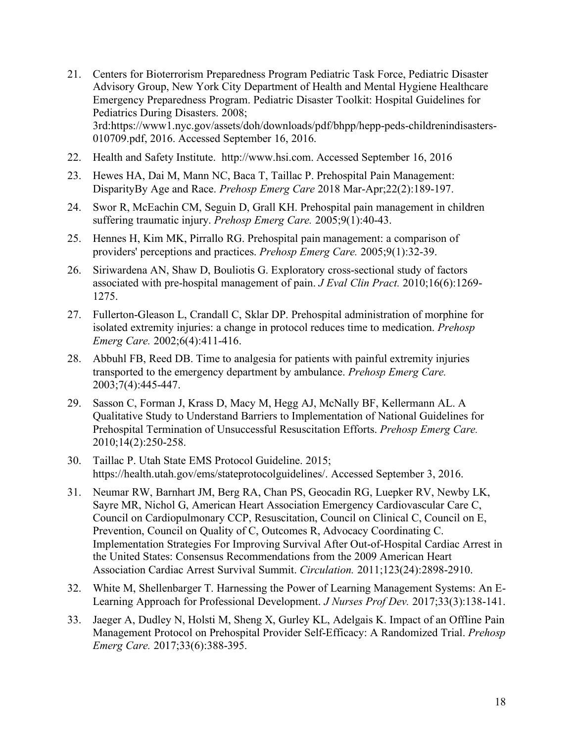- 21. Centers for Bioterrorism Preparedness Program Pediatric Task Force, Pediatric Disaster Advisory Group, New York City Department of Health and Mental Hygiene Healthcare Emergency Preparedness Program. Pediatric Disaster Toolkit: Hospital Guidelines for Pediatrics During Disasters. 2008; 3rd:https://www1.nyc.gov/assets/doh/downloads/pdf/bhpp/hepp-peds-childrenindisasters-010709.pdf, 2016. Accessed September 16, 2016.
- 22. Health and Safety Institute. http://www.hsi.com. Accessed September 16, 2016
- 23. Hewes HA, Dai M, Mann NC, Baca T, Taillac P. Prehospital Pain Management: DisparityBy Age and Race. *Prehosp Emerg Care* 2018 Mar-Apr;22(2):189-197.
- 24. Swor R, McEachin CM, Seguin D, Grall KH. Prehospital pain management in children suffering traumatic injury. *Prehosp Emerg Care.* 2005;9(1):40-43.
- 25. Hennes H, Kim MK, Pirrallo RG. Prehospital pain management: a comparison of providers' perceptions and practices. *Prehosp Emerg Care.* 2005;9(1):32-39.
- 26. Siriwardena AN, Shaw D, Bouliotis G. Exploratory cross-sectional study of factors associated with pre-hospital management of pain. *J Eval Clin Pract.* 2010;16(6):1269- 1275.
- 27. Fullerton-Gleason L, Crandall C, Sklar DP. Prehospital administration of morphine for isolated extremity injuries: a change in protocol reduces time to medication. *Prehosp Emerg Care.* 2002;6(4):411-416.
- 28. Abbuhl FB, Reed DB. Time to analgesia for patients with painful extremity injuries transported to the emergency department by ambulance. *Prehosp Emerg Care.*  2003;7(4):445-447.
- 29. Sasson C, Forman J, Krass D, Macy M, Hegg AJ, McNally BF, Kellermann AL. A Qualitative Study to Understand Barriers to Implementation of National Guidelines for Prehospital Termination of Unsuccessful Resuscitation Efforts. *Prehosp Emerg Care.*  2010;14(2):250-258.
- 30. Taillac P. Utah State EMS Protocol Guideline. 2015; https://health.utah.gov/ems/stateprotocolguidelines/. Accessed September 3, 2016.
- 31. Neumar RW, Barnhart JM, Berg RA, Chan PS, Geocadin RG, Luepker RV, Newby LK, Sayre MR, Nichol G, American Heart Association Emergency Cardiovascular Care C, Council on Cardiopulmonary CCP, Resuscitation, Council on Clinical C, Council on E, Prevention, Council on Quality of C, Outcomes R, Advocacy Coordinating C. Implementation Strategies For Improving Survival After Out-of-Hospital Cardiac Arrest in the United States: Consensus Recommendations from the 2009 American Heart Association Cardiac Arrest Survival Summit. *Circulation.* 2011;123(24):2898-2910.
- 32. White M, Shellenbarger T. Harnessing the Power of Learning Management Systems: An E-Learning Approach for Professional Development. *J Nurses Prof Dev.* 2017;33(3):138-141.
- 33. Jaeger A, Dudley N, Holsti M, Sheng X, Gurley KL, Adelgais K. Impact of an Offline Pain Management Protocol on Prehospital Provider Self-Efficacy: A Randomized Trial. *Prehosp Emerg Care.* 2017;33(6):388-395.